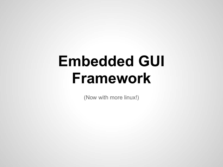# **Embedded GUI Framework**

(Now with more linux!)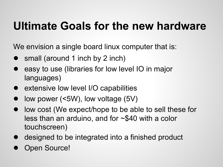#### **Ultimate Goals for the new hardware**

We envision a single board linux computer that is:

- small (around 1 inch by 2 inch)
- easy to use (libraries for low level IO in major languages)
- extensive low level I/O capabilities
- low power ( $\leq$ 5W), low voltage (5V)
- low cost (We expect/hope to be able to sell these for less than an arduino, and for ~\$40 with a color touchscreen)
- designed to be integrated into a finished product
- **Open Source!**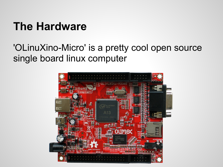## **The Hardware**

#### 'OLinuXino-Micro' is a pretty cool open source single board linux computer

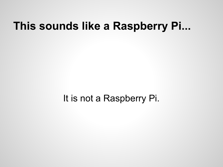#### **This sounds like a Raspberry Pi...**

It is not a Raspberry Pi.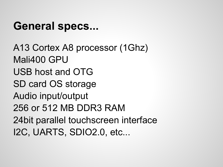#### **General specs...**

A13 Cortex A8 processor (1Ghz) Mali400 GPU USB host and OTG SD card OS storage Audio input/output 256 or 512 MB DDR3 RAM 24bit parallel touchscreen interface I2C, UARTS, SDIO2.0, etc...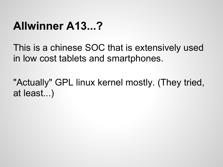## **Allwinner A13...?**

This is a chinese SOC that is extensively used in low cost tablets and smartphones.

"Actually" GPL linux kernel mostly. (They tried, at least...)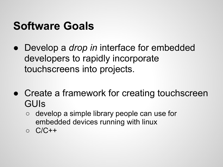#### **Software Goals**

- Develop a *drop in* interface for embedded developers to rapidly incorporate touchscreens into projects.
- Create a framework for creating touchscreen GUIs
	- develop a simple library people can use for embedded devices running with linux
	- C/C++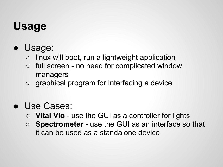# **Usage**

- Usage:
	- $\circ$  linux will boot, run a lightweight application
	- full screen no need for complicated window managers
	- graphical program for interfacing a device
- Use Cases:
	- **Vital Vio** use the GUI as a controller for lights
	- **Spectrometer** use the GUI as an interface so that it can be used as a standalone device